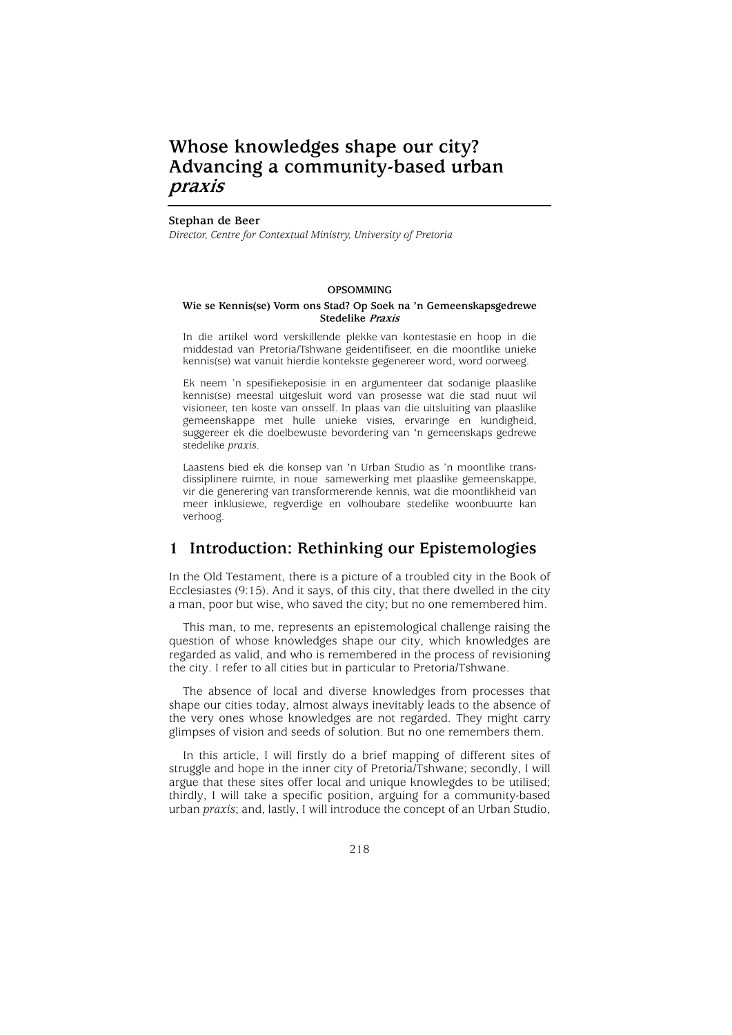# **Whose knowledges shape our city? Advancing a community-based urban praxis**

#### **Stephan de Beer**

*Director, Centre for Contextual Ministry, University of Pretoria* 

### **OPSOMMING**

#### **Wie se Kennis(se) Vorm ons Stad? Op Soek na 'n Gemeenskapsgedrewe Stedelike Praxis**

In die artikel word verskillende plekke van kontestasie en hoop in die middestad van Pretoria/Tshwane geidentifiseer, en die moontlike unieke kennis(se) wat vanuit hierdie kontekste gegenereer word, word oorweeg.

Ek neem 'n spesifiekeposisie in en argumenteer dat sodanige plaaslike kennis(se) meestal uitgesluit word van prosesse wat die stad nuut wil visioneer, ten koste van onsself. In plaas van die uitsluiting van plaaslike gemeenskappe met hulle unieke visies, ervaringe en kundigheid, suggereer ek die doelbewuste bevordering van 'n gemeenskaps gedrewe stedelike *praxis*.

Laastens bied ek die konsep van 'n Urban Studio as 'n moontlike transdissiplinere ruimte, in noue samewerking met plaaslike gemeenskappe, vir die generering van transformerende kennis, wat die moontlikheid van meer inklusiewe, regverdige en volhoubare stedelike woonbuurte kan verhoog.

## **1 Introduction: Rethinking our Epistemologies**

In the Old Testament, there is a picture of a troubled city in the Book of Ecclesiastes (9:15). And it says, of this city, that there dwelled in the city a man, poor but wise, who saved the city; but no one remembered him.

This man, to me, represents an epistemological challenge raising the question of whose knowledges shape our city, which knowledges are regarded as valid, and who is remembered in the process of revisioning the city. I refer to all cities but in particular to Pretoria/Tshwane.

The absence of local and diverse knowledges from processes that shape our cities today, almost always inevitably leads to the absence of the very ones whose knowledges are not regarded. They might carry glimpses of vision and seeds of solution. But no one remembers them.

In this article, I will firstly do a brief mapping of different sites of struggle and hope in the inner city of Pretoria/Tshwane; secondly, I will argue that these sites offer local and unique knowlegdes to be utilised; thirdly, I will take a specific position, arguing for a community-based urban *praxis*; and, lastly, I will introduce the concept of an Urban Studio,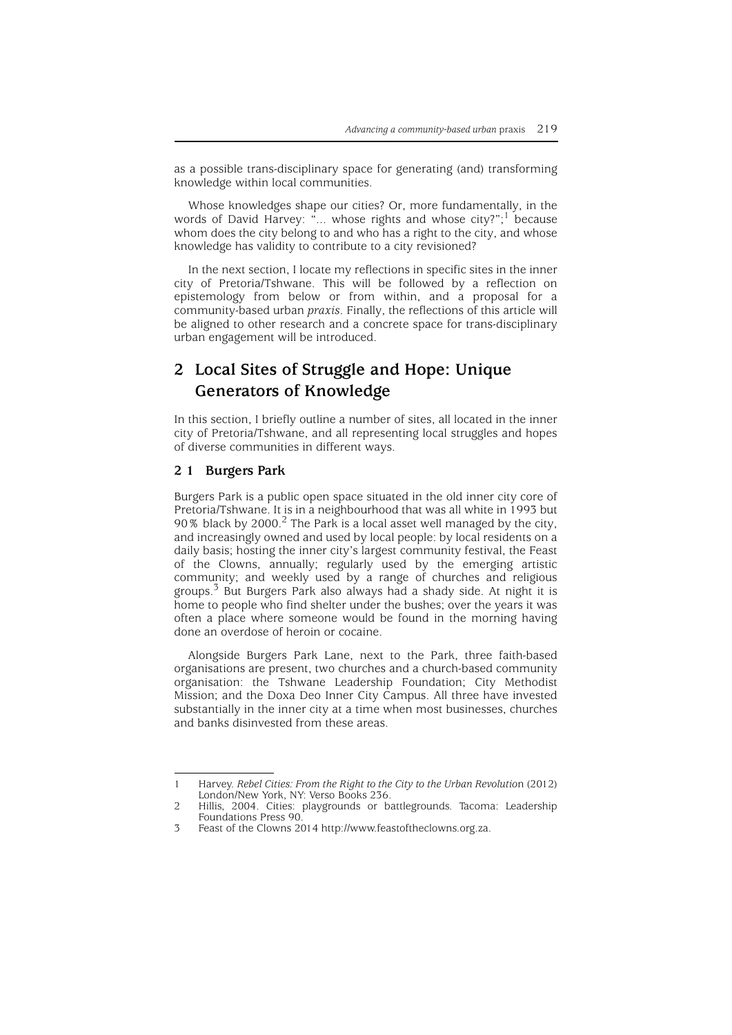as a possible trans-disciplinary space for generating (and) transforming knowledge within local communities.

Whose knowledges shape our cities? Or, more fundamentally, in the words of David Harvey: "... whose rights and whose city?";<sup>1</sup> because whom does the city belong to and who has a right to the city, and whose knowledge has validity to contribute to a city revisioned?

In the next section, I locate my reflections in specific sites in the inner city of Pretoria/Tshwane. This will be followed by a reflection on epistemology from below or from within, and a proposal for a community-based urban *praxis*. Finally, the reflections of this article will be aligned to other research and a concrete space for trans-disciplinary urban engagement will be introduced.

# **2 Local Sites of Struggle and Hope: Unique Generators of Knowledge**

In this section, I briefly outline a number of sites, all located in the inner city of Pretoria/Tshwane, and all representing local struggles and hopes of diverse communities in different ways.

### **2 1 Burgers Park**

Burgers Park is a public open space situated in the old inner city core of Pretoria/Tshwane. It is in a neighbourhood that was all white in 1993 but 90% black by 2000.<sup>2</sup> The Park is a local asset well managed by the city, and increasingly owned and used by local people: by local residents on a daily basis; hosting the inner city's largest community festival, the Feast of the Clowns, annually; regularly used by the emerging artistic community; and weekly used by a range of churches and religious groups.3 But Burgers Park also always had a shady side. At night it is home to people who find shelter under the bushes; over the years it was often a place where someone would be found in the morning having done an overdose of heroin or cocaine.

Alongside Burgers Park Lane, next to the Park, three faith-based organisations are present, two churches and a church-based community organisation: the Tshwane Leadership Foundation; City Methodist Mission; and the Doxa Deo Inner City Campus. All three have invested substantially in the inner city at a time when most businesses, churches and banks disinvested from these areas.

<sup>1</sup> Harvey. *Rebel Cities: From the Right to the City to the Urban Revolutio*n (2012) London/New York, NY: Verso Books 236.

<sup>2</sup> Hillis, 2004. Cities: playgrounds or battlegrounds. Tacoma: Leadership Foundations Press 90.

<sup>3</sup> Feast of the Clowns 2014 http://www.feastoftheclowns.org.za.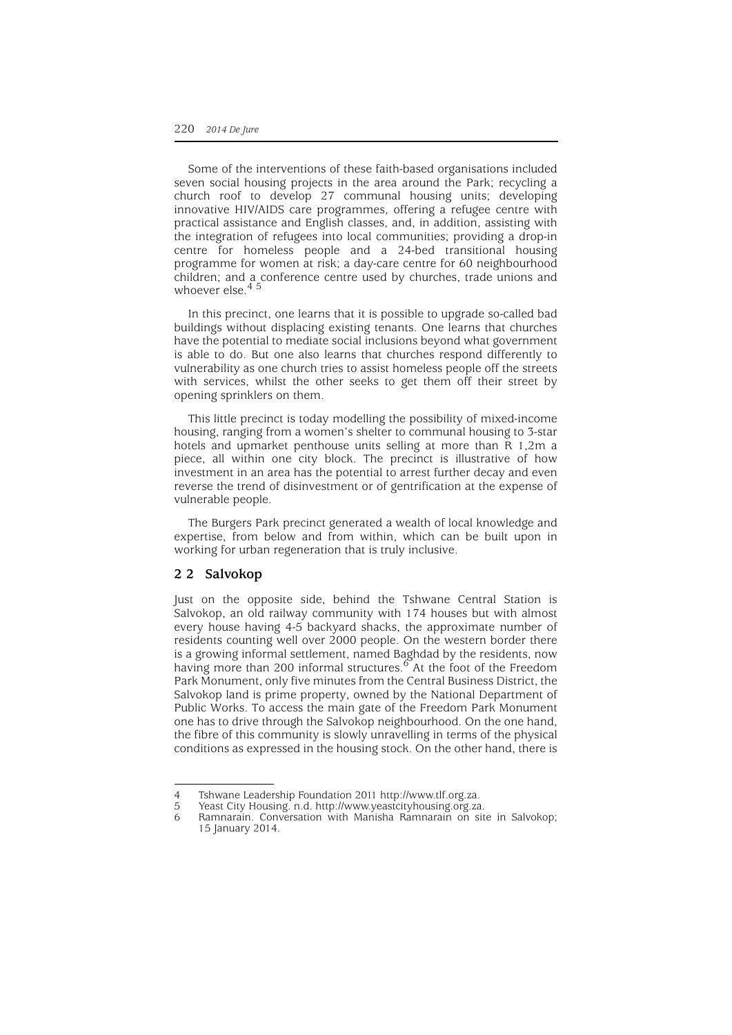Some of the interventions of these faith-based organisations included seven social housing projects in the area around the Park; recycling a church roof to develop 27 communal housing units; developing innovative HIV/AIDS care programmes, offering a refugee centre with practical assistance and English classes, and, in addition, assisting with the integration of refugees into local communities; providing a drop-in centre for homeless people and a 24-bed transitional housing programme for women at risk; a day-care centre for 60 neighbourhood children; and a conference centre used by churches, trade unions and whoever else.<sup>45</sup>

In this precinct, one learns that it is possible to upgrade so-called bad buildings without displacing existing tenants. One learns that churches have the potential to mediate social inclusions beyond what government is able to do. But one also learns that churches respond differently to vulnerability as one church tries to assist homeless people off the streets with services, whilst the other seeks to get them off their street by opening sprinklers on them.

This little precinct is today modelling the possibility of mixed-income housing, ranging from a women's shelter to communal housing to 3-star hotels and upmarket penthouse units selling at more than R 1,2m a piece, all within one city block. The precinct is illustrative of how investment in an area has the potential to arrest further decay and even reverse the trend of disinvestment or of gentrification at the expense of vulnerable people.

The Burgers Park precinct generated a wealth of local knowledge and expertise, from below and from within, which can be built upon in working for urban regeneration that is truly inclusive.

### **2 2 Salvokop**

Just on the opposite side, behind the Tshwane Central Station is Salvokop, an old railway community with 174 houses but with almost every house having 4-5 backyard shacks, the approximate number of residents counting well over 2000 people. On the western border there is a growing informal settlement, named Baghdad by the residents, now having more than 200 informal structures.<sup>6</sup> At the foot of the Freedom Park Monument, only five minutes from the Central Business District, the Salvokop land is prime property, owned by the National Department of Public Works. To access the main gate of the Freedom Park Monument one has to drive through the Salvokop neighbourhood. On the one hand, the fibre of this community is slowly unravelling in terms of the physical conditions as expressed in the housing stock. On the other hand, there is

<sup>4</sup> Tshwane Leadership Foundation 2011 http://www.tlf.org.za.

<sup>5</sup> Yeast City Housing. n.d. http://www.yeastcityhousing.org.za.

Ramnarain. Conversation with Manisha Ramnarain on site in Salvokop; 15 January 2014.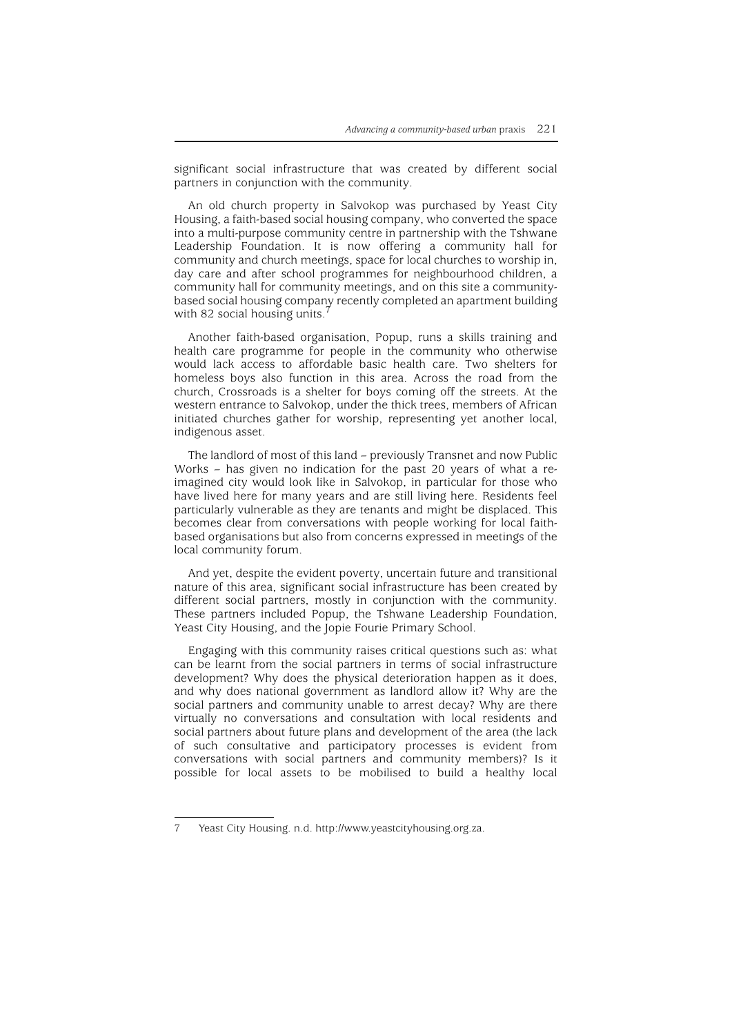significant social infrastructure that was created by different social partners in conjunction with the community.

An old church property in Salvokop was purchased by Yeast City Housing, a faith-based social housing company, who converted the space into a multi-purpose community centre in partnership with the Tshwane Leadership Foundation. It is now offering a community hall for community and church meetings, space for local churches to worship in, day care and after school programmes for neighbourhood children, a community hall for community meetings, and on this site a communitybased social housing company recently completed an apartment building with 82 social housing units.<sup>7</sup>

Another faith-based organisation, Popup, runs a skills training and health care programme for people in the community who otherwise would lack access to affordable basic health care. Two shelters for homeless boys also function in this area. Across the road from the church, Crossroads is a shelter for boys coming off the streets. At the western entrance to Salvokop, under the thick trees, members of African initiated churches gather for worship, representing yet another local, indigenous asset.

The landlord of most of this land – previously Transnet and now Public Works – has given no indication for the past 20 years of what a reimagined city would look like in Salvokop, in particular for those who have lived here for many years and are still living here. Residents feel particularly vulnerable as they are tenants and might be displaced. This becomes clear from conversations with people working for local faithbased organisations but also from concerns expressed in meetings of the local community forum.

And yet, despite the evident poverty, uncertain future and transitional nature of this area, significant social infrastructure has been created by different social partners, mostly in conjunction with the community. These partners included Popup, the Tshwane Leadership Foundation, Yeast City Housing, and the Jopie Fourie Primary School.

Engaging with this community raises critical questions such as: what can be learnt from the social partners in terms of social infrastructure development? Why does the physical deterioration happen as it does, and why does national government as landlord allow it? Why are the social partners and community unable to arrest decay? Why are there virtually no conversations and consultation with local residents and social partners about future plans and development of the area (the lack of such consultative and participatory processes is evident from conversations with social partners and community members)? Is it possible for local assets to be mobilised to build a healthy local

<sup>7</sup> Yeast City Housing. n.d. http://www.yeastcityhousing.org.za.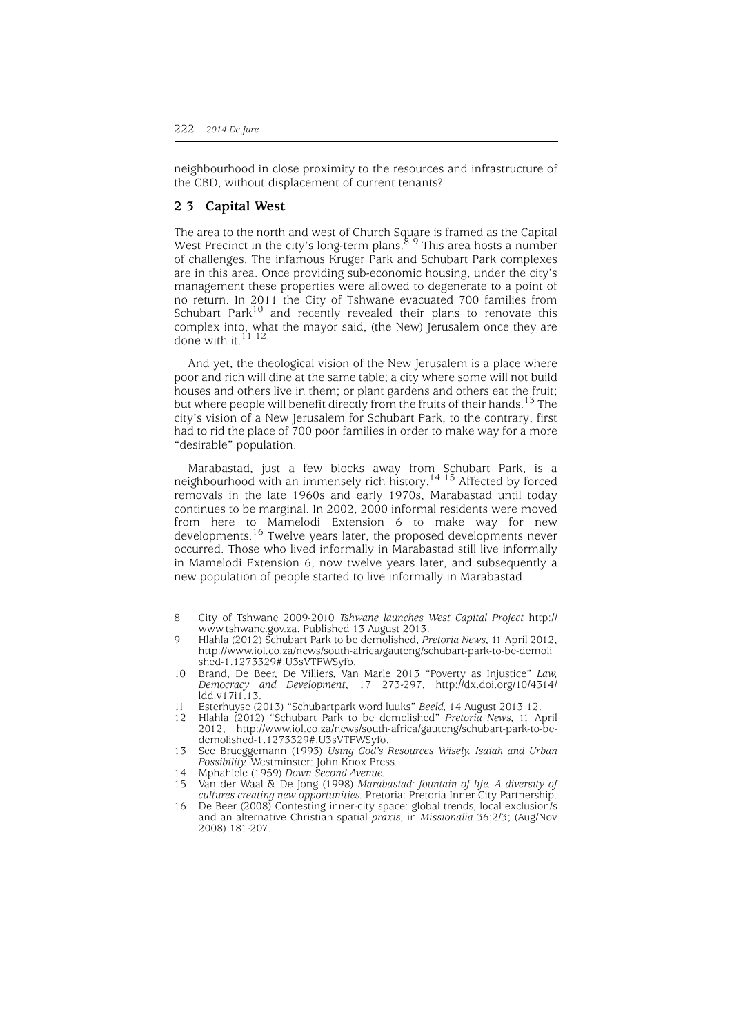neighbourhood in close proximity to the resources and infrastructure of the CBD, without displacement of current tenants?

## **2 3 Capital West**

The area to the north and west of Church Square is framed as the Capital West Precinct in the city's long-term plans. $^{8}$  <sup>9</sup> This area hosts a number of challenges. The infamous Kruger Park and Schubart Park complexes are in this area. Once providing sub-economic housing, under the city's management these properties were allowed to degenerate to a point of no return. In 2011 the City of Tshwane evacuated 700 families from Schubart Park<sup>10</sup> and recently revealed their plans to renovate this complex into, what the mayor said, (the New) Jerusalem once they are done with it. $1112$ 

And yet, the theological vision of the New Jerusalem is a place where poor and rich will dine at the same table; a city where some will not build houses and others live in them; or plant gardens and others eat the fruit; but where people will benefit directly from the fruits of their hands.<sup>13</sup> The city's vision of a New Jerusalem for Schubart Park, to the contrary, first had to rid the place of 700 poor families in order to make way for a more "desirable" population.

Marabastad, just a few blocks away from Schubart Park, is a neighbourhood with an immensely rich history.<sup>14</sup> 15 Affected by forced removals in the late 1960s and early 1970s, Marabastad until today continues to be marginal. In 2002, 2000 informal residents were moved from here to Mamelodi Extension 6 to make way for new developments.16 Twelve years later, the proposed developments never occurred. Those who lived informally in Marabastad still live informally in Mamelodi Extension 6, now twelve years later, and subsequently a new population of people started to live informally in Marabastad.

<sup>8</sup> City of Tshwane 2009-2010 *Tshwane launches West Capital Project* http:// www.tshwane.gov.za. Published 13 August 2013.

<sup>9</sup> Hlahla (2012) Schubart Park to be demolished, *Pretoria News*, 11 April 2012, http://www.iol.co.za/news/south-africa/gauteng/schubart-park-to-be-demoli shed-1.1273329#.U3sVTFWSyfo.

<sup>10</sup> Brand, De Beer, De Villiers, Van Marle 2013 "Poverty as Injustice" *Law, Democracy and Development*, 17 273-297, http://dx.doi.org/10/4314/ ldd.v17i1.13.

<sup>11</sup> Esterhuyse (2013) "Schubartpark word luuks" *Beeld,* 14 August 2013 12.

<sup>12</sup> Hlahla (2012) "Schubart Park to be demolished" *Pretoria News*, 11 April 2012, http://www.iol.co.za/news/south-africa/gauteng/schubart-park-to-bedemolished-1.1273329#.U3sVTFWSyfo.

<sup>13</sup> See Brueggemann (1993) *Using God's Resources Wisely. Isaiah and Urban Possibility.* Westminster: John Knox Press.

<sup>14</sup> Mphahlele (1959) *Down Second Avenue.*

<sup>15</sup> Van der Waal & De Jong (1998) *Marabastad: fountain of life. A diversity of cultures creating new opportunities.* Pretoria: Pretoria Inner City Partnership.

<sup>16</sup> De Beer (2008) Contesting inner-city space: global trends, local exclusion/s and an alternative Christian spatial *praxis*, in *Missionalia* 36:2/3; (Aug/Nov 2008) 181-207.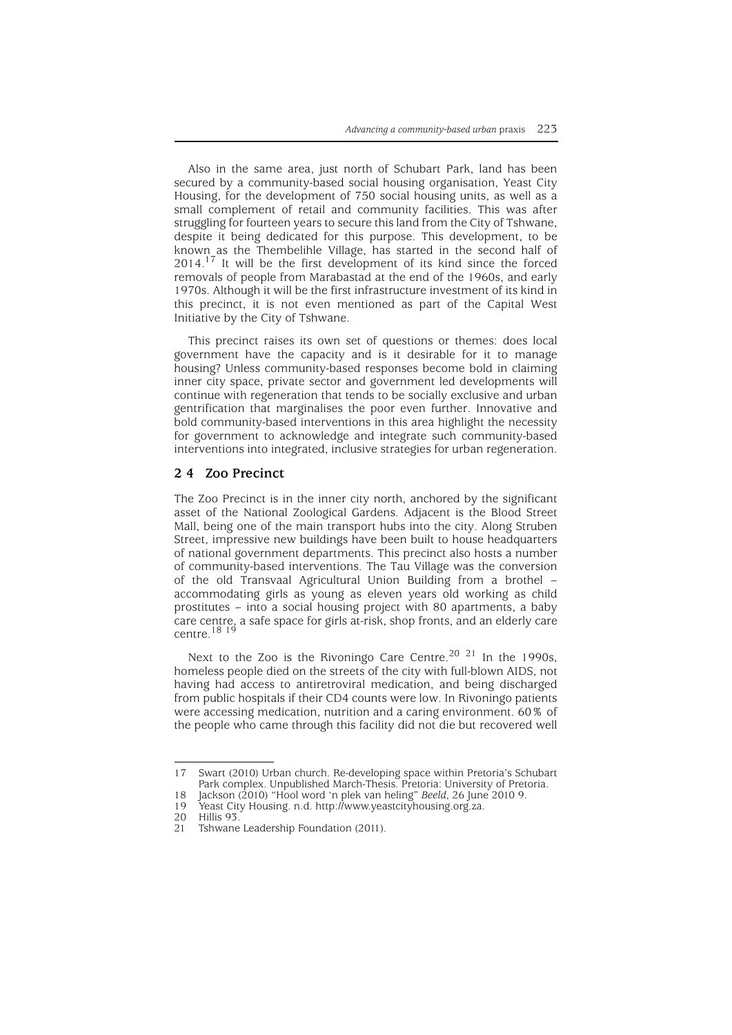Also in the same area, just north of Schubart Park, land has been secured by a community-based social housing organisation, Yeast City Housing, for the development of 750 social housing units, as well as a small complement of retail and community facilities. This was after struggling for fourteen years to secure this land from the City of Tshwane, despite it being dedicated for this purpose. This development, to be known as the Thembelihle Village, has started in the second half of 2014.17 It will be the first development of its kind since the forced removals of people from Marabastad at the end of the 1960s, and early 1970s. Although it will be the first infrastructure investment of its kind in this precinct, it is not even mentioned as part of the Capital West Initiative by the City of Tshwane.

This precinct raises its own set of questions or themes: does local government have the capacity and is it desirable for it to manage housing? Unless community-based responses become bold in claiming inner city space, private sector and government led developments will continue with regeneration that tends to be socially exclusive and urban gentrification that marginalises the poor even further. Innovative and bold community-based interventions in this area highlight the necessity for government to acknowledge and integrate such community-based interventions into integrated, inclusive strategies for urban regeneration.

### **2 4 Zoo Precinct**

The Zoo Precinct is in the inner city north, anchored by the significant asset of the National Zoological Gardens. Adjacent is the Blood Street Mall, being one of the main transport hubs into the city. Along Struben Street, impressive new buildings have been built to house headquarters of national government departments. This precinct also hosts a number of community-based interventions. The Tau Village was the conversion of the old Transvaal Agricultural Union Building from a brothel – accommodating girls as young as eleven years old working as child prostitutes – into a social housing project with 80 apartments, a baby care centre, a safe space for girls at-risk, shop fronts, and an elderly care centre.<sup>18</sup> <sup>19</sup>

Next to the Zoo is the Rivoningo Care Centre.<sup>20 21</sup> In the 1990s, homeless people died on the streets of the city with full-blown AIDS, not having had access to antiretroviral medication, and being discharged from public hospitals if their CD4 counts were low. In Rivoningo patients were accessing medication, nutrition and a caring environment. 60% of the people who came through this facility did not die but recovered well

<sup>17</sup> Swart (2010) Urban church. Re-developing space within Pretoria's Schubart Park complex. Unpublished March-Thesis. Pretoria: University of Pretoria.

<sup>18</sup> Jackson (2010) "Hool word 'n plek van heling" *Beeld*, 26 June 2010 9.

Yeast City Housing. n.d. http://www.yeastcityhousing.org.za.

<sup>20</sup> Hillis 93.<br>21 Tshwane

Tshwane Leadership Foundation (2011).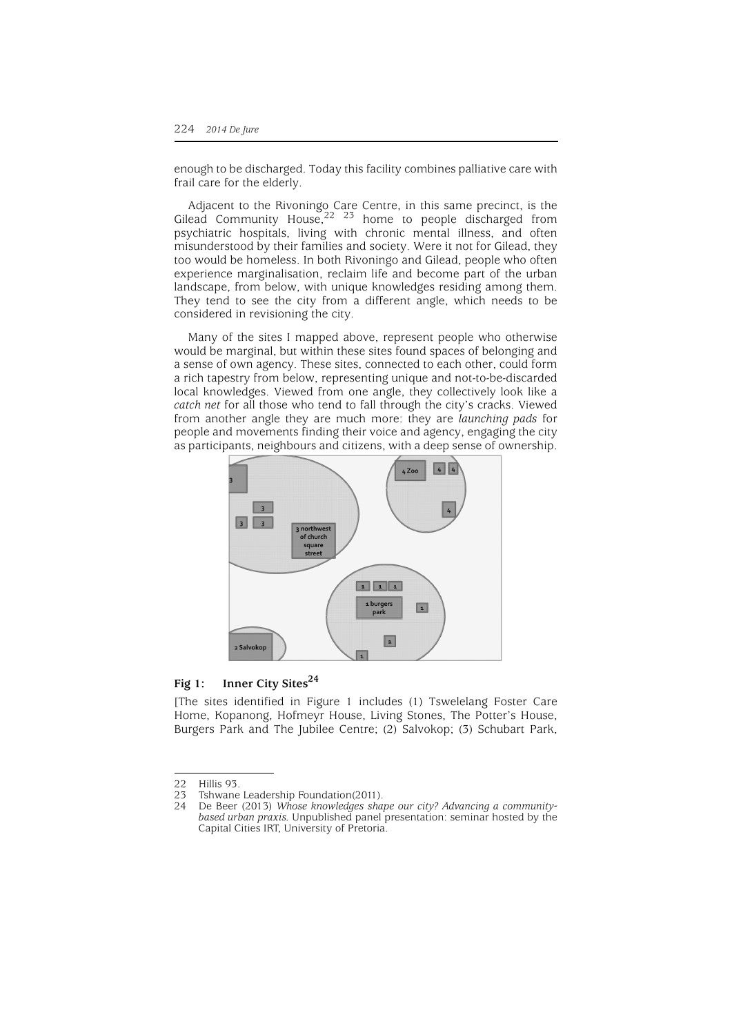enough to be discharged. Today this facility combines palliative care with frail care for the elderly.

Adjacent to the Rivoningo Care Centre, in this same precinct, is the Gilead Community House,  $22 \times 23$  home to people discharged from psychiatric hospitals, living with chronic mental illness, and often misunderstood by their families and society. Were it not for Gilead, they too would be homeless. In both Rivoningo and Gilead, people who often experience marginalisation, reclaim life and become part of the urban landscape, from below, with unique knowledges residing among them. They tend to see the city from a different angle, which needs to be considered in revisioning the city.

Many of the sites I mapped above, represent people who otherwise would be marginal, but within these sites found spaces of belonging and a sense of own agency. These sites, connected to each other, could form a rich tapestry from below, representing unique and not-to-be-discarded local knowledges. Viewed from one angle, they collectively look like a *catch net* for all those who tend to fall through the city's cracks. Viewed from another angle they are much more: they are *launching pads* for people and movements finding their voice and agency, engaging the city as participants, neighbours and citizens, with a deep sense of ownership.



## **Fig 1: Inner City Sites<sup>24</sup>**

[The sites identified in Figure 1 includes (1) Tswelelang Foster Care Home, Kopanong, Hofmeyr House, Living Stones, The Potter's House, Burgers Park and The Jubilee Centre; (2) Salvokop; (3) Schubart Park,

<sup>22</sup> Hillis 93.<br>23 Tshwane

<sup>23</sup> Tshwane Leadership Foundation(2011).<br>24 De Beer (2013) Whose knowledges shai

De Beer (2013) Whose knowledges shape our city? Advancing a community*based urban praxis.* Unpublished panel presentation: seminar hosted by the Capital Cities IRT, University of Pretoria.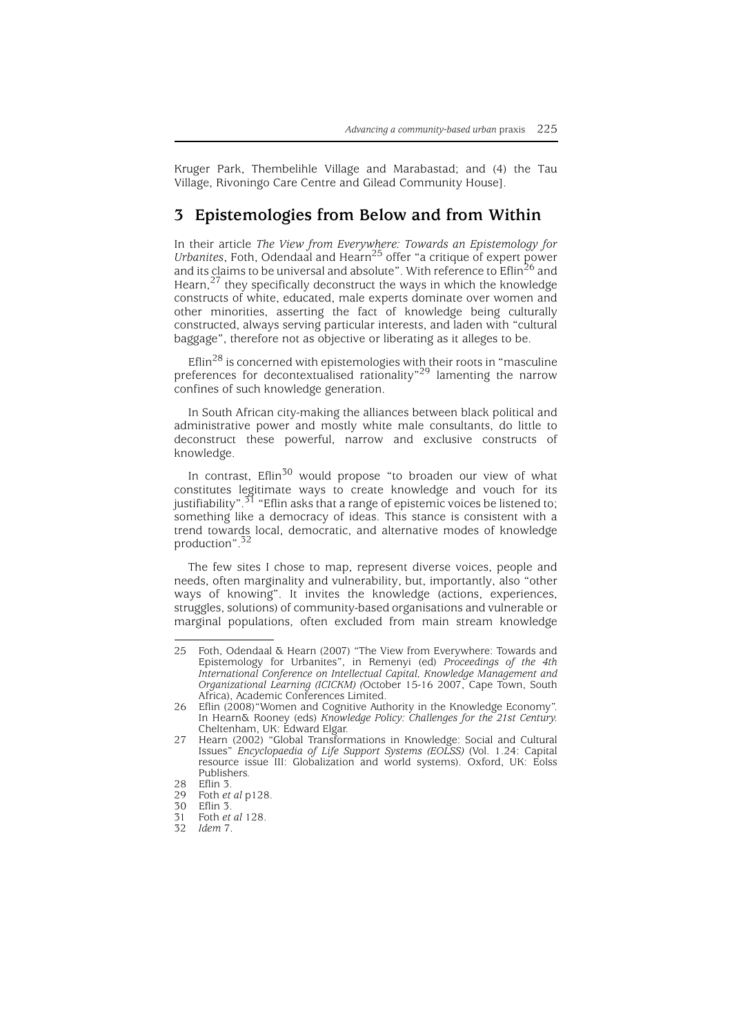Kruger Park, Thembelihle Village and Marabastad; and (4) the Tau Village, Rivoningo Care Centre and Gilead Community House].

## **3 Epistemologies from Below and from Within**

In their article *The View from Everywhere: Towards an Epistemology for Urbanites*, Foth, Odendaal and Hearn<sup>25</sup> offer "a critique of expert power and its claims to be universal and absolute". With reference to Eflin<sup>26</sup> and Hearn, $^{27}$  they specifically deconstruct the ways in which the knowledge constructs of white, educated, male experts dominate over women and other minorities, asserting the fact of knowledge being culturally constructed, always serving particular interests, and laden with "cultural baggage", therefore not as objective or liberating as it alleges to be.

Eflin<sup>28</sup> is concerned with epistemologies with their roots in "masculine" preferences for decontextualised rationality"29 lamenting the narrow confines of such knowledge generation.

In South African city-making the alliances between black political and administrative power and mostly white male consultants, do little to deconstruct these powerful, narrow and exclusive constructs of knowledge.

In contrast, Eflin<sup>30</sup> would propose "to broaden our view of what constitutes legitimate ways to create knowledge and vouch for its justifiability".<sup>31</sup> "Eflin asks that a range of epistemic voices be listened to; something like a democracy of ideas. This stance is consistent with a trend towards local, democratic, and alternative modes of knowledge production".32

The few sites I chose to map, represent diverse voices, people and needs, often marginality and vulnerability, but, importantly, also "other ways of knowing". It invites the knowledge (actions, experiences, struggles, solutions) of community-based organisations and vulnerable or marginal populations, often excluded from main stream knowledge

<sup>25</sup> Foth, Odendaal & Hearn (2007) "The View from Everywhere: Towards and Epistemology for Urbanites", in Remenyi (ed) *Proceedings of the 4th International Conference on Intellectual Capital, Knowledge Management and Organizational Learning (ICICKM) (*October 15-16 2007, Cape Town, South Africa), Academic Conferences Limited.

<sup>26</sup> Eflin (2008)"Women and Cognitive Authority in the Knowledge Economy". In Hearn& Rooney (eds) *Knowledge Policy: Challenges for the 21st Century*. Cheltenham, UK: Edward Elgar.

<sup>27</sup> Hearn (2002) "Global Transformations in Knowledge: Social and Cultural Issues" *Encyclopaedia of Life Support Systems (EOLSS)* (Vol. 1.24: Capital resource issue III: Globalization and world systems). Oxford, UK: Eolss Publishers.

<sup>28</sup> Eflin 3.<br>29 Eoth et

<sup>29</sup> Foth *et al* p128.

<sup>30</sup> Eflin 3.<br>31 Foth *et* 

<sup>31</sup> Foth *et al* 128. 32 *Idem* 7.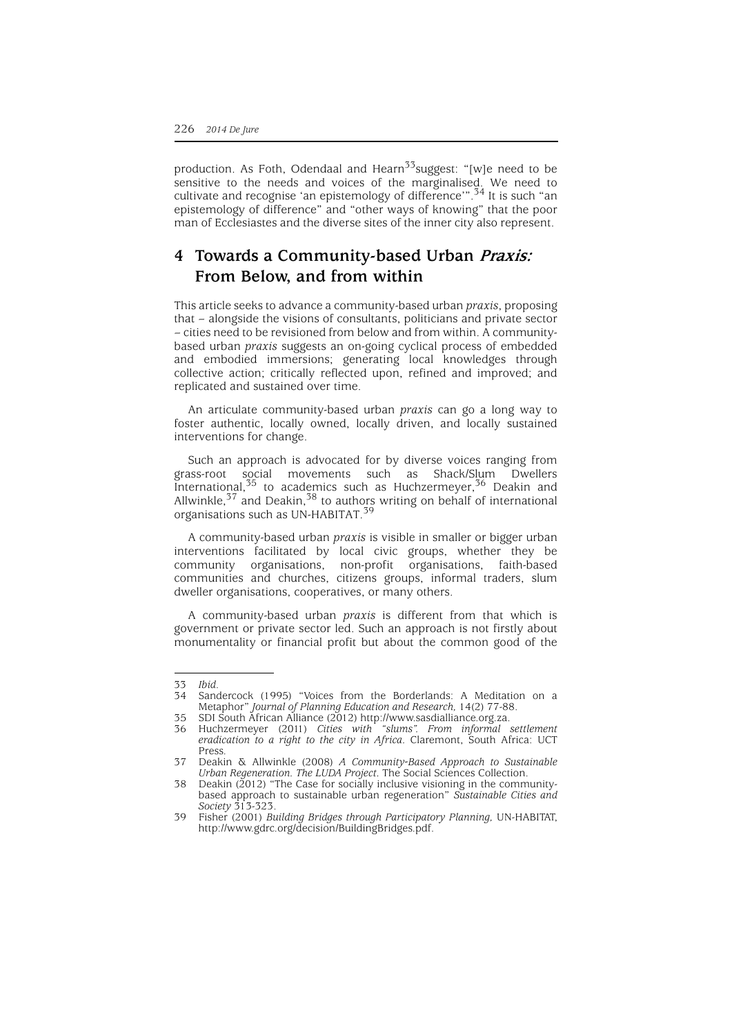production. As Foth, Odendaal and Hearn $33$ suggest: "[w]e need to be sensitive to the needs and voices of the marginalised. We need to cultivate and recognise 'an epistemology of difference'".<sup>34</sup> It is such "an epistemology of difference" and "other ways of knowing" that the poor man of Ecclesiastes and the diverse sites of the inner city also represent.

# **4 Towards a Community-based Urban Praxis: From Below, and from within**

This article seeks to advance a community-based urban *praxis*, proposing that – alongside the visions of consultants, politicians and private sector – cities need to be revisioned from below and from within. A communitybased urban *praxis* suggests an on-going cyclical process of embedded and embodied immersions; generating local knowledges through collective action; critically reflected upon, refined and improved; and replicated and sustained over time.

An articulate community-based urban *praxis* can go a long way to foster authentic, locally owned, locally driven, and locally sustained interventions for change.

Such an approach is advocated for by diverse voices ranging from grass-root social movements such as Shack/Slum Dwellers International, $^{35}$  to academics such as Huchzermeyer, $^{36}$  Deakin and Allwinkle,  $37$  and Deakin,  $38$  to authors writing on behalf of international organisations such as UN-HABITAT.<sup>39</sup>

A community-based urban *praxis* is visible in smaller or bigger urban interventions facilitated by local civic groups, whether they be community organisations, non-profit organisations, faith-based communities and churches, citizens groups, informal traders, slum dweller organisations, cooperatives, or many others.

A community-based urban *praxis* is different from that which is government or private sector led. Such an approach is not firstly about monumentality or financial profit but about the common good of the

<sup>33</sup> *Ibid*.

<sup>34</sup> Sandercock (1995) "Voices from the Borderlands: A Meditation on a Metaphor" *Journal of Planning Education and Research,* 14(2) 77-88.

<sup>35</sup> SDI South African Alliance (2012) http://www.sasdialliance.org.za.

<sup>36</sup> Huchzermeyer (2011) *Cities with "slums". From informal settlement eradication to a right to the city in Africa.* Claremont, South Africa: UCT Press.

<sup>37</sup> Deakin & Allwinkle (2008) *A Community-Based Approach to Sustainable Urban Regeneration. The LUDA Project.* The Social Sciences Collection.

<sup>38</sup> Deakin (2012) "The Case for socially inclusive visioning in the communitybased approach to sustainable urban regeneration" *Sustainable Cities and Society* 313-323.

<sup>39</sup> Fisher (2001) *Building Bridges through Participatory Planning,* UN-HABITAT, http://www.gdrc.org/decision/BuildingBridges.pdf.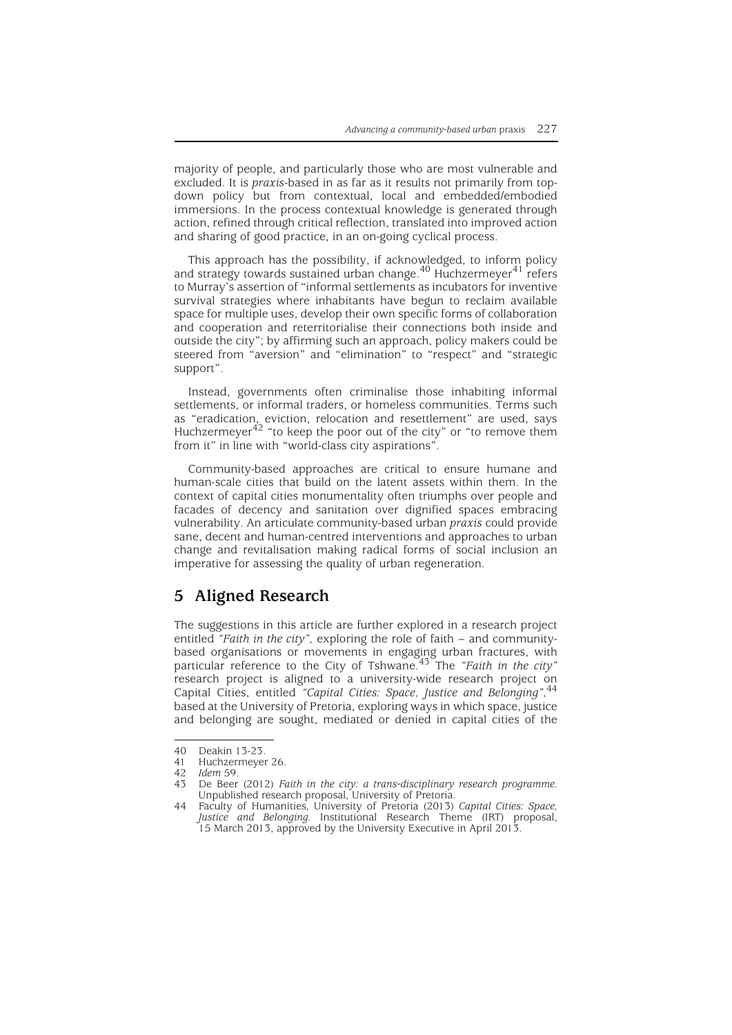majority of people, and particularly those who are most vulnerable and excluded. It is *praxis*-based in as far as it results not primarily from topdown policy but from contextual, local and embedded/embodied immersions. In the process contextual knowledge is generated through action, refined through critical reflection, translated into improved action and sharing of good practice, in an on-going cyclical process.

This approach has the possibility, if acknowledged, to inform policy and strategy towards sustained urban change.<sup>40</sup> Huchzermeyer<sup>41</sup> refers to Murray's assertion of "informal settlements as incubators for inventive survival strategies where inhabitants have begun to reclaim available space for multiple uses, develop their own specific forms of collaboration and cooperation and reterritorialise their connections both inside and outside the city"; by affirming such an approach, policy makers could be steered from "aversion" and "elimination" to "respect" and "strategic support".

Instead, governments often criminalise those inhabiting informal settlements, or informal traders, or homeless communities. Terms such as "eradication, eviction, relocation and resettlement" are used, says Huchzermeyer $42$  "to keep the poor out of the city" or "to remove them from it" in line with "world-class city aspirations".

Community-based approaches are critical to ensure humane and human-scale cities that build on the latent assets within them. In the context of capital cities monumentality often triumphs over people and facades of decency and sanitation over dignified spaces embracing vulnerability. An articulate community-based urban *praxis* could provide sane, decent and human-centred interventions and approaches to urban change and revitalisation making radical forms of social inclusion an imperative for assessing the quality of urban regeneration.

## **5 Aligned Research**

The suggestions in this article are further explored in a research project entitled *"Faith in the city",* exploring the role of faith – and communitybased organisations or movements in engaging urban fractures, with particular reference to the City of Tshwane.43 The *"Faith in the city"* research project is aligned to a university-wide research project on Capital Cities, entitled *"Capital Cities: Space, Justice and Belonging",*<sup>44</sup> based at the University of Pretoria, exploring ways in which space, justice and belonging are sought, mediated or denied in capital cities of the

<sup>40</sup> Deakin 13-23.<br>41 Huchzermever

<sup>41</sup> Huchzermeyer 26.<br>42 Idem 59

<sup>42</sup> *Idem* 59.

<sup>43</sup> De Beer (2012) *Faith in the city: a trans-disciplinary research programme.* Unpublished research proposal, University of Pretoria.

<sup>44</sup> Faculty of Humanities, University of Pretoria (2013) *Capital Cities: Space, Justice and Belonging.* Institutional Research Theme (IRT) proposal, 15 March 2013, approved by the University Executive in April 2013.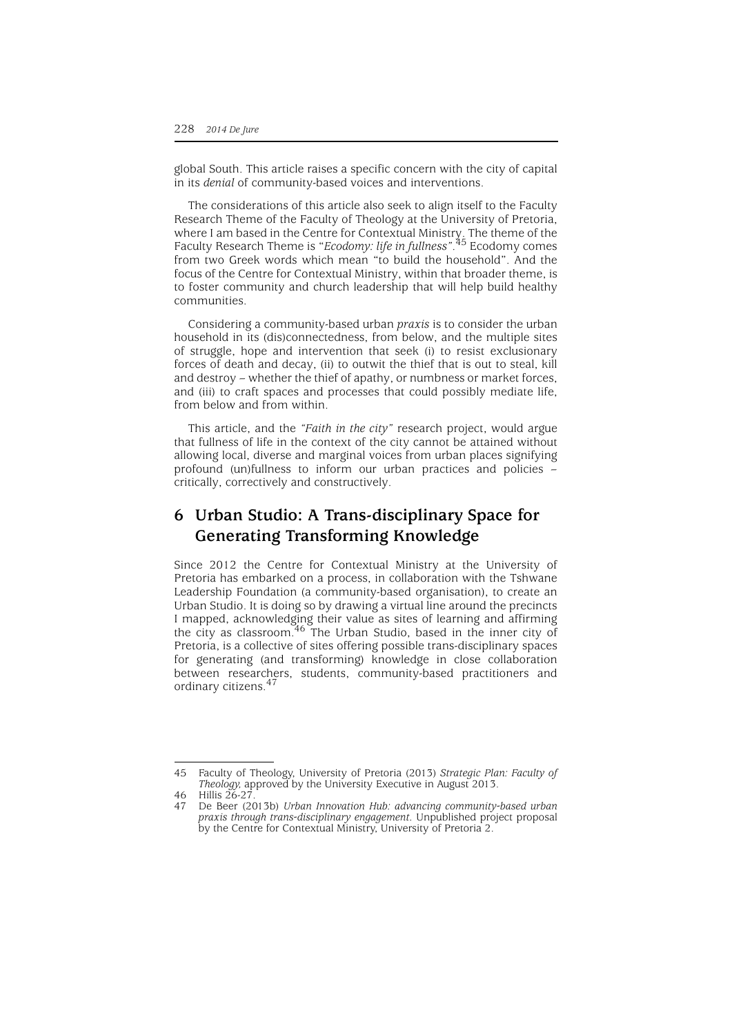global South. This article raises a specific concern with the city of capital in its *denial* of community-based voices and interventions.

The considerations of this article also seek to align itself to the Faculty Research Theme of the Faculty of Theology at the University of Pretoria, where I am based in the Centre for Contextual Ministry. The theme of the Faculty Research Theme is "*Ecodomy: life in fullness"*. 45 Ecodomy comes from two Greek words which mean "to build the household". And the focus of the Centre for Contextual Ministry, within that broader theme, is to foster community and church leadership that will help build healthy communities.

Considering a community-based urban *praxis* is to consider the urban household in its (dis)connectedness, from below, and the multiple sites of struggle, hope and intervention that seek (i) to resist exclusionary forces of death and decay, (ii) to outwit the thief that is out to steal, kill and destroy – whether the thief of apathy, or numbness or market forces, and (iii) to craft spaces and processes that could possibly mediate life, from below and from within.

This article, and the *"Faith in the city"* research project, would argue that fullness of life in the context of the city cannot be attained without allowing local, diverse and marginal voices from urban places signifying profound (un)fullness to inform our urban practices and policies – critically, correctively and constructively.

# **6 Urban Studio: A Trans-disciplinary Space for Generating Transforming Knowledge**

Since 2012 the Centre for Contextual Ministry at the University of Pretoria has embarked on a process, in collaboration with the Tshwane Leadership Foundation (a community-based organisation), to create an Urban Studio. It is doing so by drawing a virtual line around the precincts I mapped, acknowledging their value as sites of learning and affirming the city as classroom.46 The Urban Studio, based in the inner city of Pretoria, is a collective of sites offering possible trans-disciplinary spaces for generating (and transforming) knowledge in close collaboration between researchers, students, community-based practitioners and ordinary citizens.<sup>47</sup>

<sup>45</sup> Faculty of Theology, University of Pretoria (2013) *Strategic Plan: Faculty of Theology,* approved by the University Executive in August 2013.

<sup>46</sup> Hillis 26-27.

<sup>47</sup> De Beer (2013b) *Urban Innovation Hub: advancing community-based urban praxis through trans-disciplinary engagement.* Unpublished project proposal by the Centre for Contextual Ministry, University of Pretoria 2.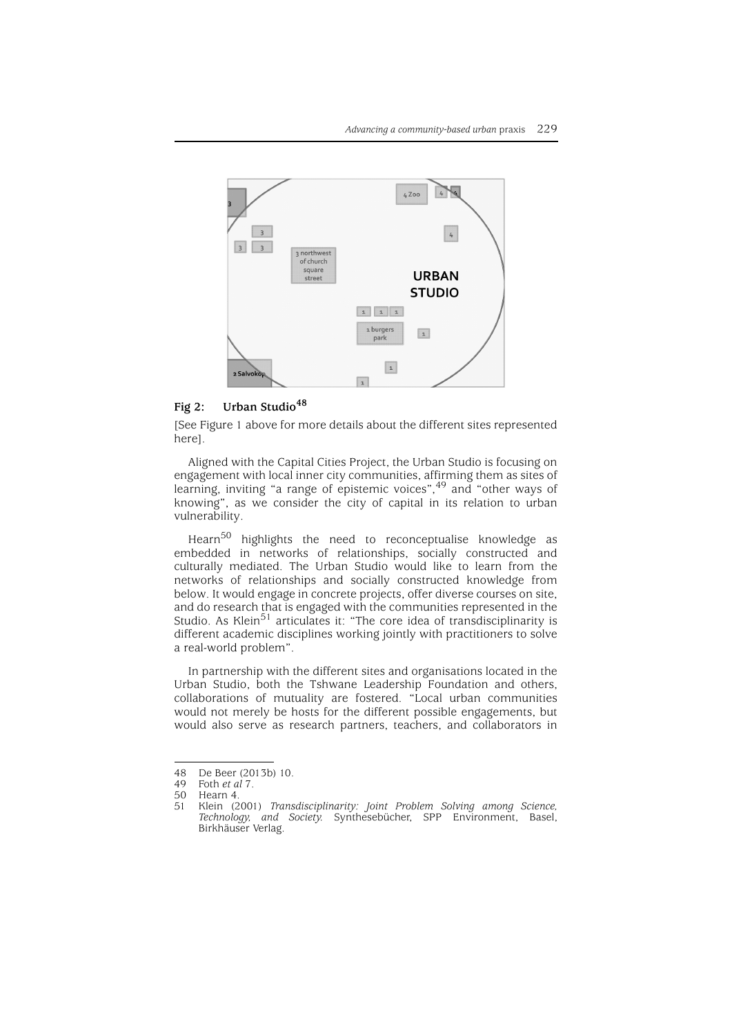

# **Fig 2: Urban Studio<sup>48</sup>**

[See Figure 1 above for more details about the different sites represented here].

Aligned with the Capital Cities Project, the Urban Studio is focusing on engagement with local inner city communities, affirming them as sites of learning, inviting "a range of epistemic voices",49 and "other ways of knowing", as we consider the city of capital in its relation to urban vulnerability.

Hearn<sup>50</sup> highlights the need to reconceptualise knowledge as embedded in networks of relationships, socially constructed and culturally mediated. The Urban Studio would like to learn from the networks of relationships and socially constructed knowledge from below. It would engage in concrete projects, offer diverse courses on site, and do research that is engaged with the communities represented in the Studio. As Klein<sup>51</sup> articulates it: "The core idea of transdisciplinarity is different academic disciplines working jointly with practitioners to solve a real-world problem".

In partnership with the different sites and organisations located in the Urban Studio, both the Tshwane Leadership Foundation and others, collaborations of mutuality are fostered. "Local urban communities would not merely be hosts for the different possible engagements, but would also serve as research partners, teachers, and collaborators in

<sup>48</sup> De Beer (2013b) 10.<br>49 Foth et al. 7

<sup>49</sup> Foth *et al* 7.

<sup>50</sup> Hearn 4.<br>51 Klein (2

<sup>51</sup> Klein (2001) *Transdisciplinarity: Joint Problem Solving among Science, Technology, and Society.* Synthesebücher, SPP Environment, Basel, Birkhäuser Verlag.